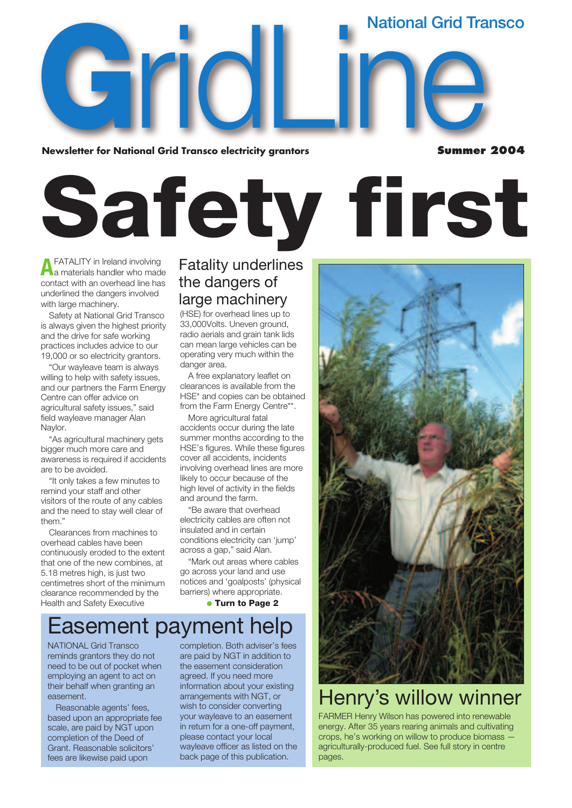**National Grid Transco**

**G**<br>**G**<br>**Newsletter for Natio Newsletter for National Grid Transco electricity grantors**  onal Grid Transco electricity grantors<br>
Summer

**Summer 2004**

# **Safety first**

**A**FATALITY in Ireland involving<br>a materials handler who made contact with an overhead line has underlined the dangers involved with large machinery.

Safety at National Grid Transco is always given the highest priority and the drive for safe working practices includes advice to our 19,000 or so electricity grantors.

"Our wayleave team is always willing to help with safety issues, and our partners the Farm Energy Centre can offer advice on agricultural safety issues," said field wayleave manager Alan Naylor.

"As agricultural machinery gets bigger much more care and awareness is required if accidents are to be avoided.

"It only takes a few minutes to remind your staff and other visitors of the route of any cables and the need to stay well clear of them<sup>'</sup>

Clearances from machines to overhead cables have been continuously eroded to the extent that one of the new combines, at 5.18 metres high, is just two centimetres short of the minimum clearance recommended by the Health and Safety Executive

### Fatality underlines the dangers of large machinery

(HSE) for overhead lines up to 33,000Volts. Uneven ground, radio aerials and grain tank lids can mean large vehicles can be operating very much within the danger area.

A free explanatory leaflet on clearances is available from the HSE\* and copies can be obtained from the Farm Energy Centre\*\*.

More agricultural fatal accidents occur during the late summer months according to the HSE's figures. While these figures cover all accidents, incidents involving overhead lines are more likely to occur because of the high level of activity in the fields and around the farm.

"Be aware that overhead electricity cables are often not insulated and in certain conditions electricity can 'jump' across a gap," said Alan.

"Mark out areas where cables go across your land and use notices and 'goalposts' (physical barriers) where appropriate.

● **Turn to Page 2**

### Easement payment help

NATIONAL Grid Transco reminds grantors they do not need to be out of pocket when employing an agent to act on their behalf when granting an easement.

Reasonable agents' fees, based upon an appropriate fee scale, are paid by NGT upon completion of the Deed of Grant. Reasonable solicitors' fees are likewise paid upon

completion. Both adviser's fees are paid by NGT in addition to the easement consideration agreed. If you need more information about your existing arrangements with NGT, or wish to consider converting your wayleave to an easement in return for a one-off payment, please contact your local wayleave officer as listed on the back page of this publication.



### Henry's willow winner

FARMER Henry Wilson has powered into renewable energy. After 35 years rearing animals and cultivating crops, he's working on willow to produce biomass agriculturally-produced fuel. See full story in centre pages.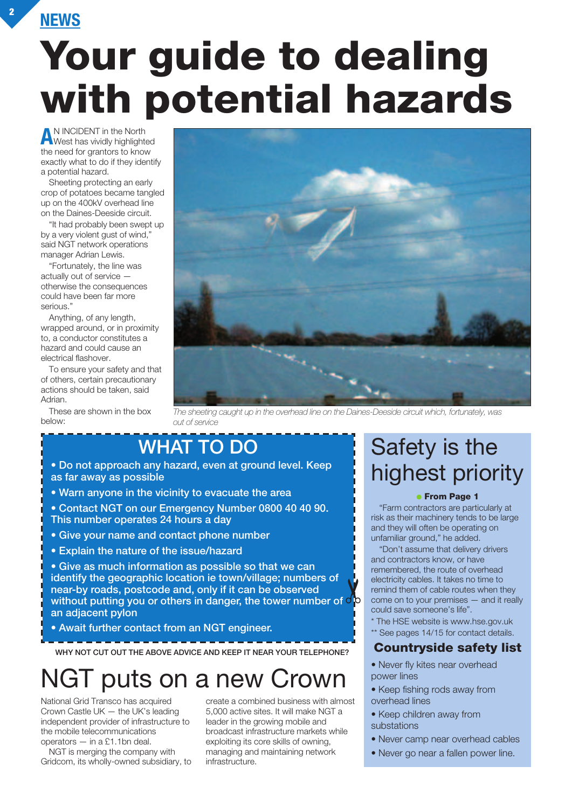## **Your guide to dealing with potential hazards**

**A**N INCIDENT in the North West has vividly highlighted the need for grantors to know exactly what to do if they identify a potential hazard.

Sheeting protecting an early crop of potatoes became tangled up on the 400kV overhead line on the Daines-Deeside circuit.

"It had probably been swept up by a very violent gust of wind," said NGT network operations manager Adrian Lewis.

"Fortunately, the line was actually out of service otherwise the consequences could have been far more serious."

Anything, of any length, wrapped around, or in proximity to, a conductor constitutes a hazard and could cause an electrical flashover.

To ensure your safety and that of others, certain precautionary actions should be taken, said Adrian.

These are shown in the box below:



*The sheeting caught up in the overhead line on the Daines-Deeside circuit which, fortunately, was out of service*

### **WHAT TO DO**

**• Do not approach any hazard, even at ground level. Keep as far away as possible**

- **Warn anyone in the vicinity to evacuate the area**
- **Contact NGT on our Emergency Number 0800 40 40 90. This number operates 24 hours a day**
- **Give your name and contact phone number**
- **Explain the nature of the issue/hazard**

**• Give as much information as possible so that we can identify the geographic location ie town/village; numbers of near-by roads, postcode and, only if it can be observed wehtly the geographic location le town/village, humbers of**<br>near-by roads, postcode and, only if it can be observed<br>without putting you or others in danger, the tower number of  $\circ$ **an adjacent pylon**

**• Await further contact from an NGT engineer.**

**WHY NOT CUT OUT THE ABOVE ADVICE AND KEEP IT NEAR YOUR TELEPHONE?**

### NGT puts on a new Crown

National Grid Transco has acquired Crown Castle UK — the UK's leading independent provider of infrastructure to the mobile telecommunications operators — in a £1.1bn deal.

NGT is merging the company with Gridcom, its wholly-owned subsidiary, to create a combined business with almost 5,000 active sites. It will make NGT a leader in the growing mobile and broadcast infrastructure markets while exploiting its core skills of owning, managing and maintaining network infrastructure.

### Safety is the highest priority

#### ● **From Page 1**

"Farm contractors are particularly at risk as their machinery tends to be large and they will often be operating on unfamiliar ground," he added.

"Don't assume that delivery drivers and contractors know, or have remembered, the route of overhead electricity cables. It takes no time to remind them of cable routes when they come on to your premises — and it really could save someone's life".

- \* The HSE website is www.hse.gov.uk
- \*\* See pages 14/15 for contact details.

#### **Countryside safety list**

- Never fly kites near overhead power lines
- Keep fishing rods away from overhead lines
- Keep children away from substations
- Never camp near overhead cables
- Never go near a fallen power line.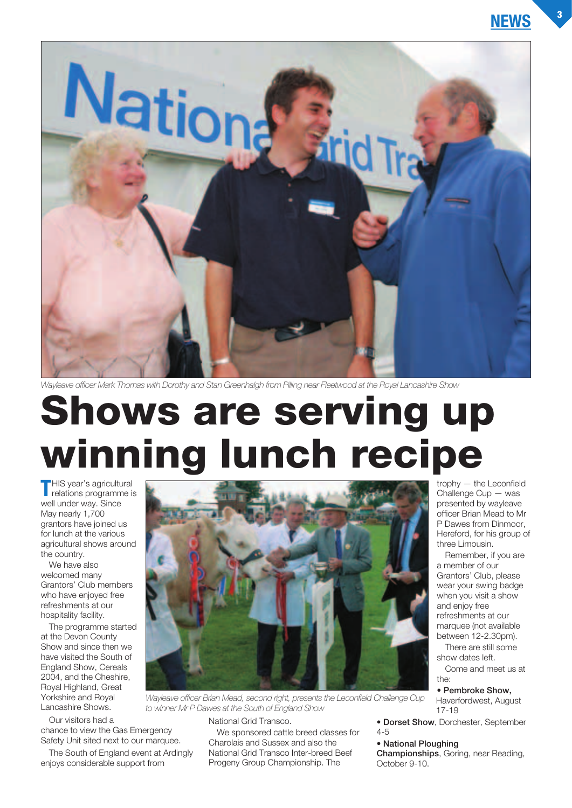

*Wayleave officer Mark Thomas with Dorothy and Stan Greenhalgh from Pilling near Fleetwood at the Royal Lancashire Show*

## **Shows are serving up winning lunch recipe**

**T**HIS year's agricultural<br>relations programme is well under way. Since May nearly 1,700 grantors have joined us for lunch at the various agricultural shows around the country.

We have also welcomed many Grantors' Club members who have enjoyed free refreshments at our hospitality facility.

The programme started at the Devon County Show and since then we have visited the South of England Show, Cereals 2004, and the Cheshire, Royal Highland, Great Yorkshire and Royal Lancashire Shows.

Our visitors had a

chance to view the Gas Emergency Safety Unit sited next to our marquee.

The South of England event at Ardingly enjoys considerable support from



*Wayleave officer Brian Mead, second right, presents the Leconfield Challenge Cup to winner Mr P Dawes at the South of England Show*

National Grid Transco.

We sponsored cattle breed classes for Charolais and Sussex and also the National Grid Transco Inter-breed Beef Progeny Group Championship. The

trophy — the Leconfield Challenge Cup — was presented by wayleave officer Brian Mead to Mr P Dawes from Dinmoor, Hereford, for his group of three Limousin.

Remember, if you are a member of our Grantors' Club, please wear your swing badge when you visit a show and enjoy free refreshments at our marquee (not available between 12-2.30pm).

There are still some show dates left.

Come and meet us at the:

• **Pembroke Show,** Haverfordwest, August 17-19

• **Dorset Show**, Dorchester, September 4-5

#### • **National Ploughing**

**Championships**, Goring, near Reading, October 9-10.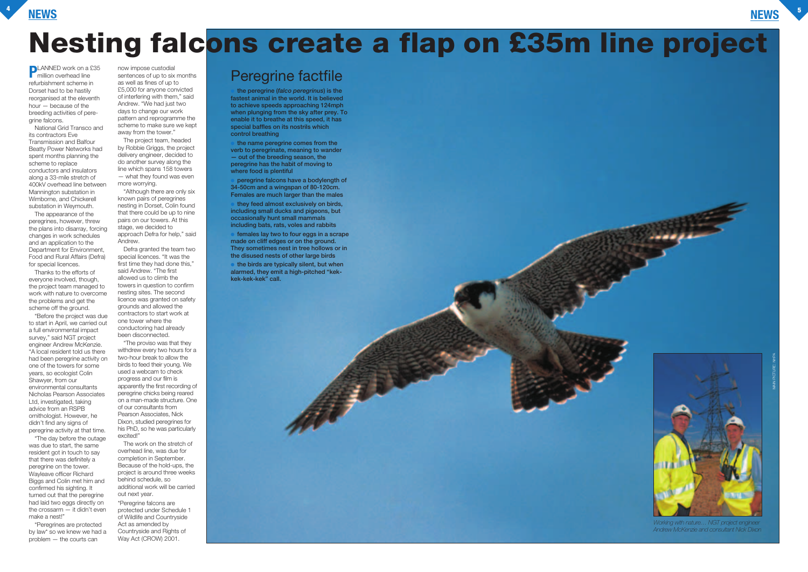### **NEWS <sup>4</sup>**



**PLANNED** work on a £35 **nillion** overhead line refurbishment scheme in Dorset had to be hastily reorganised at the eleventh hour — because of the breeding activities of peregrine falcons.

National Grid Transco and its contractors Eve Transmission and Balfour Beatty Power Networks had spent months planning the scheme to replace conductors and insulators along a 33-mile stretch of 400kV overhead line between Mannington substation in Wimborne, and Chickerell substation in Weymouth.

The appearance of the peregrines, however, threw the plans into disarray, forcing changes in work schedules and an application to the Department for Environment, Food and Rural Affairs (Defra) for special licences.

Thanks to the efforts of everyone involved, though, the project team managed to work with nature to overcome the problems and get the scheme off the ground.

"Before the project was due to start in April, we carried out a full environmental impact survey," said NGT project engineer Andrew McKenzie. "A local resident told us there had been peregrine activity on one of the towers for some years, so ecologist Colin Shawyer, from our environmental consultants Nicholas Pearson Associates Ltd, investigated, taking advice from an RSPB ornithologist. However, he didn't find any signs of peregrine activity at that time.

"The day before the outage was due to start, the same resident got in touch to say that there was definitely a peregrine on the tower. Wayleave officer Richard Biggs and Colin met him and confirmed his sighting. It turned out that the peregrine had laid two eggs directly on the crossarm — it didn't even make a nest!"

"Peregrines are protected by law\* so we knew we had a problem — the courts can

now impose custodial sentences of up to six months as well as fines of up to £5,000 for anyone convicted of interfering with them," said Andrew. "We had just two days to change our work pattern and reprogramme the scheme to make sure we kept away from the tower."

> the name peregrine comes from the **verb to peregrinate, meaning to wander — out of the breeding season, the peregrine has the habit of moving to where food is plentiful**

**peregrine falcons have a bodylength of 34-50cm and a wingspan of 80-120cm. Females are much larger than the males**

The project team, headed by Robbie Griggs, the project delivery engineer, decided to do another survey along the line which spans 158 towers — what they found was even more worrying.

> females lay two to four eggs in a scrape **made on cliff edges or on the ground. They sometimes nest in tree hollows or in the disused nests of other large birds**

"Although there are only six known pairs of peregrines nesting in Dorset, Colin found that there could be up to nine pairs on our towers. At this stage, we decided to approach Defra for help," said Andrew.

Defra granted the team two special licences. "It was the first time they had done this," said Andrew. "The first allowed us to climb the towers in question to confirm nesting sites. The second licence was granted on safety grounds and allowed the contractors to start work at one tower where the conductoring had already been disconnected.

"The proviso was that they withdrew every two hours for a two-hour break to allow the birds to feed their young. We used a webcam to check progress and our film is apparently the first recording of peregrine chicks being reared on a man-made structure. One of our consultants from Pearson Associates, Nick Dixon, studied peregrines for his PhD, so he was particularly excited!"

The work on the stretch of overhead line, was due for completion in September. Because of the hold-ups, the project is around three weeks behind schedule, so additional work will be carried out next year.

\*Peregrine falcons are protected under Schedule 1 of Wildlife and Countryside Act as amended by Countryside and Rights of Way Act (CROW) 2001.

## **Nesting falcons create a flap on £35m line project**

### Peregrine factfile

● **the peregrine (***falco peregrinus***) is the fastest animal in the world. It is believed to achieve speeds approaching 124mph when plunging from the sky after prey. To enable it to breathe at this speed, it has special baffles on its nostrils which control breathing**

● **they feed almost exclusively on birds, including small ducks and pigeons, but occasionally hunt small mammals including bats, rats, voles and rabbits**

● **the birds are typically silent, but when alarmed, they emit a high-pitched "kekkek-kek-kek" call.**

> *Working with nature… NGT project engineer Andrew McKenzie and consultant Nick Dixon*

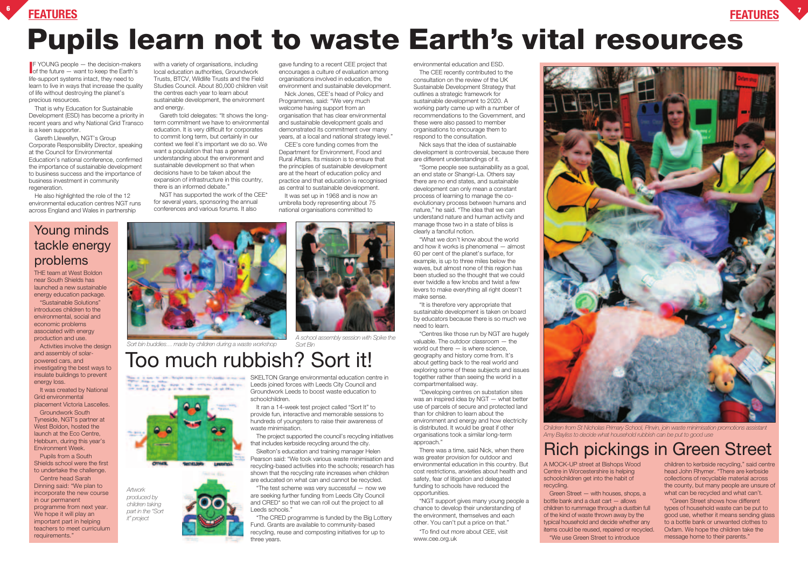### **FEATURES <sup>6</sup>**



## **Pupils learn not to waste Earth's vital resources**

**IF YOUNG people — the decision-maker**<br>**I** for the future — want to keep the Earth's  $F$  YOUNG people  $-$  the decision-makers life-support systems intact, they need to learn to live in ways that increase the quality of life without destroying the planet's precious resources.

That is why Education for Sustainable Development (ESD) has become a priority in recent years and why National Grid Transco is a keen supporter.

Gareth Llewellyn, NGT's Group Corporate Responsibility Director, speaking at the Council for Environmental Education's national conference, confirmed the importance of sustainable development to business success and the importance of business investment in community regeneration.

He also highlighted the role of the 12 environmental education centres NGT runs across England and Wales in partnership

with a variety of organisations, including local education authorities, Groundwork Trusts, BTCV, Wildlife Trusts and the Field Studies Council. About 80,000 children visit the centres each year to learn about sustainable development, the environment and energy.

> It was set up in 1968 and is now an umbrella body representing about 75 national organisations committed to

Gareth told delegates: "It shows the longterm commitment we have to environmental education. It is very difficult for corporates to commit long term, but certainly in our context we feel it's important we do so. We want a population that has a general understanding about the environment and sustainable development so that when decisions have to be taken about the expansion of infrastructure in this country, there is an informed debate."

NGT has supported the work of the CEE\* for several years, sponsoring the annual conferences and various forums. It also

gave funding to a recent CEE project that encourages a culture of evaluation among organisations involved in education, the environment and sustainable development.

Nick Jones, CEE's head of Policy and Programmes, said: "We very much welcome having support from an organisation that has clear environmental and sustainable development goals and demonstrated its commitment over many years, at a local and national strategy level."

CEE's core funding comes from the Department for Environment, Food and Rural Affairs. Its mission is to ensure that the principles of sustainable development are at the heart of education policy and practice and that education is recognised as central to sustainable development.

> A MOCK-UP street at Bishops Wood Centre in Worcestershire is helping schoolchildren get into the habit of recycling.

Green Street — with houses, shops, a bottle bank and a dust cart — allows children to rummage through a dustbin full of the kind of waste thrown away by the typical household and decide whether any items could be reused, repaired or recycled. "We use Green Street to introduce



children to kerbside recycling," said centre head John Rhymer. "There are kerbside collections of recyclable material across the county, but many people are unsure of what can be recycled and what can't.

"Green Street shows how different types of household waste can be put to good use, whether it means sending glass to a bottle bank or unwanted clothes to Oxfam. We hope the children take the message home to their parents."

environmental education and ESD.

**SKELTON Grange environmental education centre in** Leeds joined forces with Leeds City Council and Groundwork Leeds to boost waste education to schoolchildren.

The CEE recently contributed to the consultation on the review of the UK Sustainable Development Strategy that outlines a strategic framework for sustainable development to 2020. A working party came up with a number of recommendations to the Government, and these were also passed to member organisations to encourage them to respond to the consultation.

Nick says that the idea of sustainable development is controversial, because there are different understandings of it.

"Some people see sustainability as a goal, an end state or Shangri-La. Others say there are no end states, and sustainable development can only mean a constant process of learning to manage the coevolutionary process between humans and nature," he said. "The idea that we can understand nature and human activity and manage those two in a state of bliss is clearly a fanciful notion.

"What we don't know about the world and how it works is phenomenal — almost 60 per cent of the planet's surface, for example, is up to three miles below the waves, but almost none of this region has been studied so the thought that we could ever twiddle a few knobs and twist a few levers to make everything all right doesn't make sense.

"It is therefore very appropriate that sustainable development is taken on board by educators because there is so much we need to learn.

"Centres like those run by NGT are hugely valuable. The outdoor classroom — the world out there — is where science, geography and history come from. It's about getting back to the real world and exploring some of these subjects and issues together rather than seeing the world in a compartmentalised way.

"Developing centres on substation sites was an inspired idea by NGT — what better use of parcels of secure and protected land than for children to learn about the environment and energy and how electricity is distributed. It would be great if other organisations took a similar long-term approach."

There was a time, said Nick, when there was greater provision for outdoor and environmental education in this country. But cost restrictions, anxieties about health and safety, fear of litigation and delegated funding to schools have reduced the opportunities.

"NGT support gives many young people a chance to develop their understanding of the environment, themselves and each other. You can't put a price on that."

\*To find out more about CEE, visit www.cee.org.uk



THE team at West Boldon near South Shields has launched a new sustainable energy education package.

"Sustainable Solutions" introduces children to the environmental, social and economic problems associated with energy production and use.

Activities involve the design and assembly of solarpowered cars, and investigating the best ways to insulate buildings to prevent energy loss.

It was created by National Grid environmental placement Victoria Lascelles.

Groundwork South Tyneside, NGT's partner at West Boldon, hosted the launch at the Eco Centre, Hebburn, during this year's Environment Week.

Pupils from a South Shields school were the first to undertake the challenge.

Centre head Sarah Dinning said: "We plan to incorporate the new course in our permanent programme from next year. We hope it will play an important part in helping teachers to meet curriculum requirements."

## Too much rubbish? Sort it!

### Rich pickings in Green Street

### Young minds tackle energy problems

It ran a 14-week test project called "Sort It" to provide fun, interactive and memorable sessions to hundreds of youngsters to raise their awareness of waste minimisation.

The project supported the council's recycling initiatives that includes kerbside recycling around the city.

Skelton's education and training manager Helen Pearson said: "We took various waste minimisation and recycling-based activities into the schools; research has shown that the recycling rate increases when children are educated on what can and cannot be recycled.

"The test scheme was very successful — now we are seeking further funding from Leeds City Council and CRED\* so that we can roll out the project to all Leeds schools."

\*The CRED programme is funded by the Big Lottery Fund. Grants are available to community-based recycling, reuse and composting initiatives for up to three years.



*A school assembly session with Spike the Sort Bin*

*Artwork produced by children taking part in the "Sort it" project*

*Sort bin buddies… made by children during a waste workshop*

*Children from St Nicholas Primary School, Pinvin, join waste minimisation promotions assistant Amy Bayliss to decide what household rubbish can be put to good use*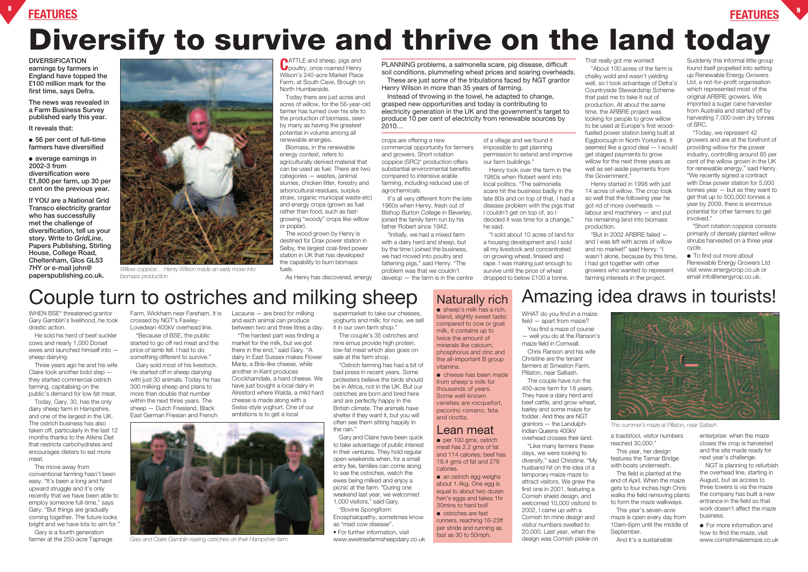### **FEATURES <sup>8</sup>**





## **Diversify to survive and thrive on the land today**

Naturally rich

 $\bullet$  sheep's milk has a rich. bland, slightly sweet taste; compared to cow or goat milk, it contains up to twice the amount of minerals like calcium, phosphorus and zinc and the all-important B group

● per 100 gms, ostrich meat has 2.2 gms of fat and 114 calories; beef has 18.4 gms of fat and 276 calories. • an ostrich egg weighs about 1.4kg. One egg is

vitamins. ● cheese has been made from sheep's milk for thousands of years. Some well-known varieties are rocquefort, pecorino romano, feta and ricotta.

#### Lean meat

equal to about two dozen hen's eggs and takes 1hr 30mins to hard boil! ● ostriches are fast runners, reaching 16-23ft per stride and running as fast as 30 to 50mph.

**CATTLE** and sheep, pigs and **U** poultry, once roamed Henry Wilson's 240-acre Market Place Farm, at South Cave, Brough on North Humberside.

**DIVERSIFICATION earnings by farmers in England have topped the £100 million mark for the first time, says Defra.**

**The news was revealed in a Farm Business Survey published early this year.**

**It reveals that:**

● **56 per cent of full-time farmers have diversified**

● **average earnings in 2002-3 from diversification were £1,800 per farm, up 30 per cent on the previous year.**

**If YOU are a National Grid Transco electricity grantor who has successfully met the challenge of diversification, tell us your story. Write to** *GridLine***, Papers Publishing, Stirling House, College Road, Cheltenham, Glos GL53 7HY or e-mail john@ paperspublishing.co.uk.**

It's all very different from the late 1960s when Henry, fresh out of Bishop Burton College in Beverley, joined the family farm run by his father Robert since 1942.

Today there are just acres and acres of willow, for the 56-year-old farmer has turned over his site to the production of biomass, seen by many as having the greatest potential in volume among all renewable energies.

Biomass, in the renewable energy context, refers to agriculturally derived material that can be used as fuel. There are two categories — wastes, (animal slurries, chicken litter, forestry and arboricultural residues, surplus straw, organic municipal waste etc) and energy crops (grown as fuel rather than food, such as fastgrowing "woody" crops like willow or poplar).

The wood grown by Henry is destined for Drax power station in Selby, the largest coal-fired power station in UK that has developed the capability to burn biomass fuels.

As Henry has discovered, energy

Suddenly this informal little group found itself propelled into setting up Renewable Energy Growers Ltd, a not-for-profit organisation which represented most of the original ARBRE growers. We imported a sugar cane harvester from Australia and started off by harvesting 7,000 oven dry tonnes of SRC.

crops are offering a new commercial opportunity for farmers and growers. Short rotation coppice (SRC)\* production offers substantial environmental benefits compared to intensive arable farming, including reduced use of agrochemicals.

> ● To find out more about Renewable Energy Growers Ltd visit www.energycrop.co.uk or email info@energyrop.co.uk.



"Initially, we had a mixed farm with a dairy herd and sheep, but by the time I joined the business, we had moved into poultry and fattening pigs," said Henry. "The problem was that we couldn't develop — the farm is in the centre

Today, Gary, 30, has the only dairy sheep farm in Hampshire, and one of the largest in the UK. The ostrich business has also taken off, particularly in the last 12 months thanks to the Atkins Diet that restricts carbohydrates and encourages dieters to eat more meat

of a village and we found it impossible to get planning permission to extend and improve our farm buildings."

## Henry took over the farm in the

1980s when Robert went into local politics. "The salmonella scare hit the business badly in the late 80s and on top of that, I had a disease problem with the pigs that I couldn't get on top of, so I decided it was time for a change," he said.

"I sold about 10 acres of land for a housing development and I sold all my livestock and concentrated on growing wheat, linseed and rape. I was making just enough to survive until the price of wheat dropped to below £100 a tonne.

That really got me worried! "About 100 acres of the farm is chalky wold and wasn't yielding well, so I took advantage of Defra's Countryside Stewardship Scheme that paid me to take it out of production. At about the same time, the ARBRE project was looking for people to grow willow to be used at Europe's first woodfuelled power station being built at Eggborough in North Yorkshire. It seemed like a good deal — I would get staged payments to grow willow for the next three years as well as set-aside payments from the Government."

Henry started in 1998 with just 14 acres of willow. The crop took so well that the following year he got rid of more overheads labour and machinery — and put his remaining land into biomass



production.

"But in 2002 ARBRE failed and I was left with acres of willow and no market!" said Henry. "I wasn't alone, because by this time, I had got together with other growers who wanted to represent farming interests in the project.

## Couple turn to ostriches and milking sheep Naturally rich Amazing idea draws in tourists!

● For more information and how to find the maze, visit www.cornishmaizemaze.co.uk

"Today, we represent 42 growers and are at the forefront of providing willow for the power industry, controlling around 85 per cent of the willow grown in the UK for renewable energy," said Henry. "We recently signed a contract with Drax power station for 5,000 tonnes year — but as they want to get that up to 500,000 tonnes a year by 2009, there is enormous potential for other farmers to get involved."

These are just some of the tribulations faced by NGT grantor Henry Wilson in more than 35 years of farming.

> \*Short rotation coppice consists primarily of densely planted willow shrubs harvested on a three year cycle.

WHEN BSE\* threatened grantor Gary Gamblin's livelihood, he took drastic action.

He sold his herd of beef suckler cows and nearly 1,000 Dorset ewes and launched himself into sheep dairying.

Three years ago he and his wife Claire took another bold step they started commercial ostrich farming, capitalising on the public's demand for low fat meat.

The move away from conventional farming hasn't been easy. "It's been a long and hard upward struggle and it's only recently that we have been able to employ someone full-time," says Gary. "But things are gradually coming together. The future looks bright and we have lots to aim for."

Gary is a fourth generation farmer at the 250-acre Tapnage

Farm, Wickham near Fareham. It is Lacaune — are bred for milking crossed by NGT's Fawley-Lovedean 400kV overhead line.

"Because of BSE, the public started to go off red meat and the price of lamb fell. I had to do something different to survive."

Gary sold most of his livestock. He started off in sheep dairying with just 30 animals. Today he has 300 milking sheep and plans to more than double that number within the next three years. The sheep — Dutch Friesland, Black East German Friesian and French

and each animal can produce between two and three litres a day.

"The hardest part was finding a market for the milk, but we got there in the end," said Gary. "A dairy in East Sussex makes Flower Marie, a Brie-like cheese, while another in Kent produces Crockhamdale, a hard cheese. We have just bought a local dairy in Alresford where Walda, a mild hard cheese is made along with a Swiss-style yoghurt. One of our ambitions is to get a local

supermarket to take our cheeses,

yoghurts and milk; for now, we sell it in our own farm shop." The couple's 35 ostriches and nine emus provide high protein, low-fat meat which also goes on sale at the farm shop.

"Ostrich farming has had a bit of bad press in recent years. Some protesters believe the birds should be in Africa, not in the UK. But our ostriches are born and bred here and are perfectly happy in the British climate. The animals have shelter if they want it, but you will often see them sitting happily in the rain."

Gary and Claire have been quick to take advantage of public interest in their ventures. They hold regular open weekends when, for a small entry fee, families can come along to see the ostriches, watch the ewes being milked and enjoy a picnic at the farm. "During one weekend last year, we welcomed 1,000 visitors," said Gary.

#### \*Bovine Spongiform Encephalopathy, sometimes know as "mad cow disease".

• For further information, visit www.ewetreefarmsheepdairy.co.uk WHAT do you find in a maize field — apart from maize? You find a maze of course

— well you do at the Ranson's maize field in Cornwall. Chris Ranson and his wife

Christine are the tenant farmers at Smeaton Farm, Pillaton, near Saltash.

The couple have run the 450-acre farm for 18 years. They have a dairy herd and beef cattle, and grow wheat. barley and some maize for fodder. And they are NGT grantors — the Landulph-Indian Queens 400kV overhead crosses their land.

"Like many farmers these days, we were looking to diversify," said Christine. "My husband hit on the idea of a temporary maize maze to attract visitors. We grew the first one in 2001, featuring a Cornish shield design, and welcomed 10,000 visitors! In 2002, I came up with a Cornish tin mine design and visitor numbers swelled to 20,000. Last year, when the design was Cornish piskie on

a toadstool, visitor numbers reached 30,000."

This year, her design features the Tamar Bridge with boats underneath.

The field is planted at the end of April. When the maize gets to four inches high Chris walks the field removing plants to form the maze walkways.

This year's seven-acre maze is open every day from 10am-6pm until the middle of September.

And it's a sustainable

enterprise: when the maze closes the crop is harvested and the site made ready for next year's challenge.

NGT is planning to refurbish the overhead line, starting in August, but as access to three towers is via the maze the company has built a new entrance in the field so that work doesn't affect the maze business.



*Willow coppice… Henry Wilson made an early move into biomass production*



*Gary and Claire Gamblin rearing ostriches on their Hampshire farm*

*This summer's maze at Pillaton, near Saltash*

PLANNING problems, a salmonella scare, pig disease, difficult soil conditions, plummeting wheat prices and soaring overheads.

Instead of throwing in the towel, he adapted to change, grasped new opportunities and today is contributing to electricity generation in the UK and the government's target to produce 10 per cent of electricity from renewable sources by 2010…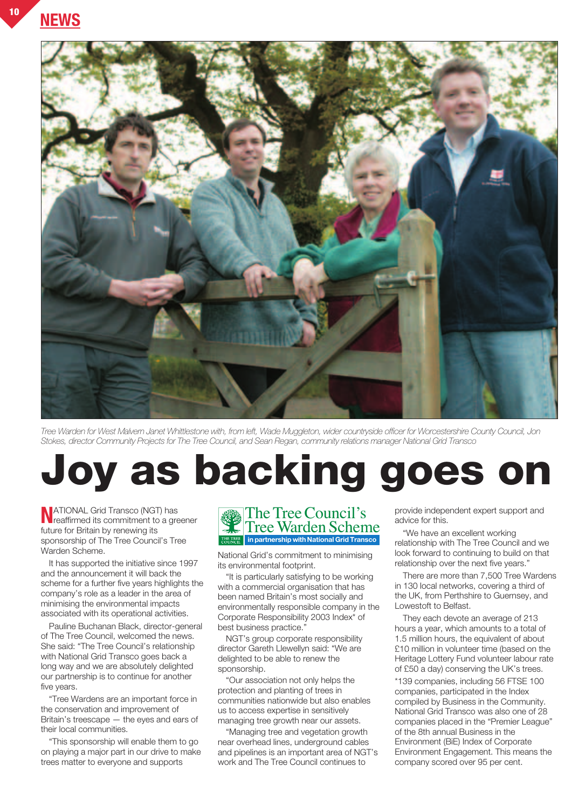**NEWS <sup>10</sup>**



*Tree Warden for West Malvern Janet Whittlestone with, from left, Wade Muggleton, wider countryside officer for Worcestershire County Council, Jon Stokes, director Community Projects for The Tree Council, and Sean Regan, community relations manager National Grid Transco*

## **Joy as backing goes on**

**N**ATIONAL Grid Transco (NGT) has reaffirmed its commitment to a greener future for Britain by renewing its sponsorship of The Tree Council's Tree Warden Scheme.

It has supported the initiative since 1997 and the announcement it will back the scheme for a further five years highlights the company's role as a leader in the area of minimising the environmental impacts associated with its operational activities.

Pauline Buchanan Black, director-general of The Tree Council, welcomed the news. She said: "The Tree Council's relationship with National Grid Transco goes back a long way and we are absolutely delighted our partnership is to continue for another five years.

"Tree Wardens are an important force in the conservation and improvement of Britain's treescape — the eyes and ears of their local communities.

"This sponsorship will enable them to go on playing a major part in our drive to make trees matter to everyone and supports

#### The Tree Council's Tree Warden Scheme **in partnership with National Grid Transco**

National Grid's commitment to minimising its environmental footprint.

"It is particularly satisfying to be working with a commercial organisation that has been named Britain's most socially and environmentally responsible company in the Corporate Responsibility 2003 Index\* of best business practice."

NGT's group corporate responsibility director Gareth Llewellyn said: "We are delighted to be able to renew the sponsorship.

"Our association not only helps the protection and planting of trees in communities nationwide but also enables us to access expertise in sensitively managing tree growth near our assets.

"Managing tree and vegetation growth near overhead lines, underground cables and pipelines is an important area of NGT's work and The Tree Council continues to

provide independent expert support and advice for this.

"We have an excellent working relationship with The Tree Council and we look forward to continuing to build on that relationship over the next five years."

There are more than 7,500 Tree Wardens in 130 local networks, covering a third of the UK, from Perthshire to Guernsey, and Lowestoft to Belfast.

They each devote an average of 213 hours a year, which amounts to a total of 1.5 million hours, the equivalent of about £10 million in volunteer time (based on the Heritage Lottery Fund volunteer labour rate of £50 a day) conserving the UK's trees.

\*139 companies, including 56 FTSE 100 companies, participated in the Index compiled by Business in the Community. National Grid Transco was also one of 28 companies placed in the "Premier League" of the 8th annual Business in the Environment (BiE) Index of Corporate Environment Engagement. This means the company scored over 95 per cent.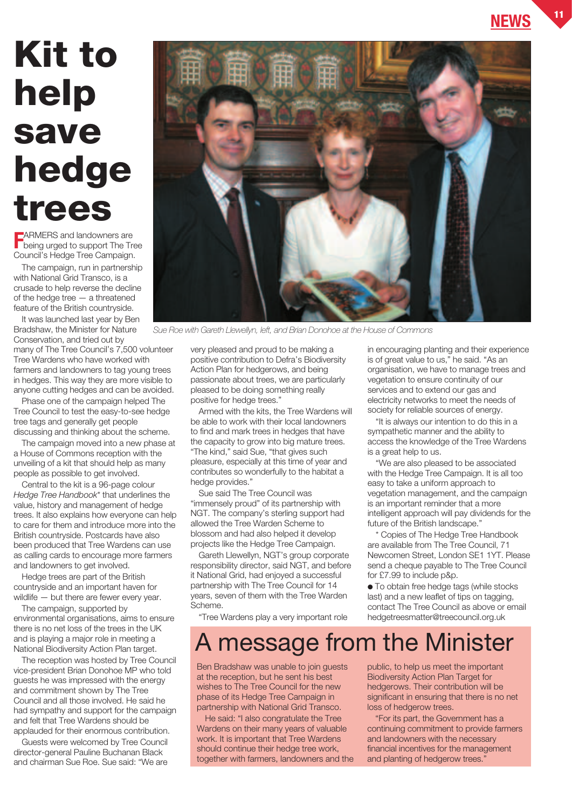## **Kit to help save hedge trees**

**F** ARMERS and landowners are<br>being urged to support The Tr being urged to support The Tree Council's Hedge Tree Campaign.

The campaign, run in partnership with National Grid Transco, is a crusade to help reverse the decline of the hedge tree — a threatened feature of the British countryside.

It was launched last year by Ben Bradshaw, the Minister for Nature Conservation, and tried out by many of The Tree Council's 7,500 volunteer Tree Wardens who have worked with farmers and landowners to tag young trees in hedges. This way they are more visible to anyone cutting hedges and can be avoided.

Phase one of the campaign helped The Tree Council to test the easy-to-see hedge tree tags and generally get people discussing and thinking about the scheme.

The campaign moved into a new phase at a House of Commons reception with the unveiling of a kit that should help as many people as possible to get involved.

Central to the kit is a 96-page colour *Hedge Tree Handbook*\* that underlines the value, history and management of hedge trees. It also explains how everyone can help to care for them and introduce more into the British countryside. Postcards have also been produced that Tree Wardens can use as calling cards to encourage more farmers and landowners to get involved.

Hedge trees are part of the British countryside and an important haven for wildlife — but there are fewer every year.

The campaign, supported by environmental organisations, aims to ensure there is no net loss of the trees in the UK and is playing a major role in meeting a National Biodiversity Action Plan target.

The reception was hosted by Tree Council vice-president Brian Donohoe MP who told guests he was impressed with the energy and commitment shown by The Tree Council and all those involved. He said he had sympathy and support for the campaign and felt that Tree Wardens should be applauded for their enormous contribution.

Guests were welcomed by Tree Council director-general Pauline Buchanan Black and chairman Sue Roe. Sue said: "We are



*Sue Roe with Gareth Llewellyn, left, and Brian Donohoe at the House of Commons*

very pleased and proud to be making a positive contribution to Defra's Biodiversity Action Plan for hedgerows, and being passionate about trees, we are particularly pleased to be doing something really positive for hedge trees."

Armed with the kits, the Tree Wardens will be able to work with their local landowners to find and mark trees in hedges that have the capacity to grow into big mature trees. "The kind," said Sue, "that gives such pleasure, especially at this time of year and contributes so wonderfully to the habitat a hedge provides."

Sue said The Tree Council was "immensely proud" of its partnership with NGT. The company's sterling support had allowed the Tree Warden Scheme to blossom and had also helped it develop projects like the Hedge Tree Campaign.

Gareth Llewellyn, NGT's group corporate responsibility director, said NGT, and before it National Grid, had enjoyed a successful partnership with The Tree Council for 14 years, seven of them with the Tree Warden Scheme.

"Tree Wardens play a very important role

in encouraging planting and their experience is of great value to us," he said. "As an organisation, we have to manage trees and vegetation to ensure continuity of our services and to extend our gas and electricity networks to meet the needs of society for reliable sources of energy.

"It is always our intention to do this in a sympathetic manner and the ability to access the knowledge of the Tree Wardens is a great help to us.

"We are also pleased to be associated with the Hedge Tree Campaign. It is all too easy to take a uniform approach to vegetation management, and the campaign is an important reminder that a more intelligent approach will pay dividends for the future of the British landscape."

Copies of The Hedge Tree Handbook are available from The Tree Council, 71 Newcomen Street, London SE1 1YT. Please send a cheque payable to The Tree Council for £7.99 to include p&p.

● To obtain free hedge tags (while stocks last) and a new leaflet of tips on tagging, contact The Tree Council as above or email hedgetreesmatter@treecouncil.org.uk

### A message from the Minister

Ben Bradshaw was unable to join guests at the reception, but he sent his best wishes to The Tree Council for the new phase of its Hedge Tree Campaign in partnership with National Grid Transco.

He said: "I also congratulate the Tree Wardens on their many years of valuable work. It is important that Tree Wardens should continue their hedge tree work, together with farmers, landowners and the

public, to help us meet the important Biodiversity Action Plan Target for hedgerows. Their contribution will be significant in ensuring that there is no net loss of hedgerow trees.

"For its part, the Government has a continuing commitment to provide farmers and landowners with the necessary financial incentives for the management and planting of hedgerow trees."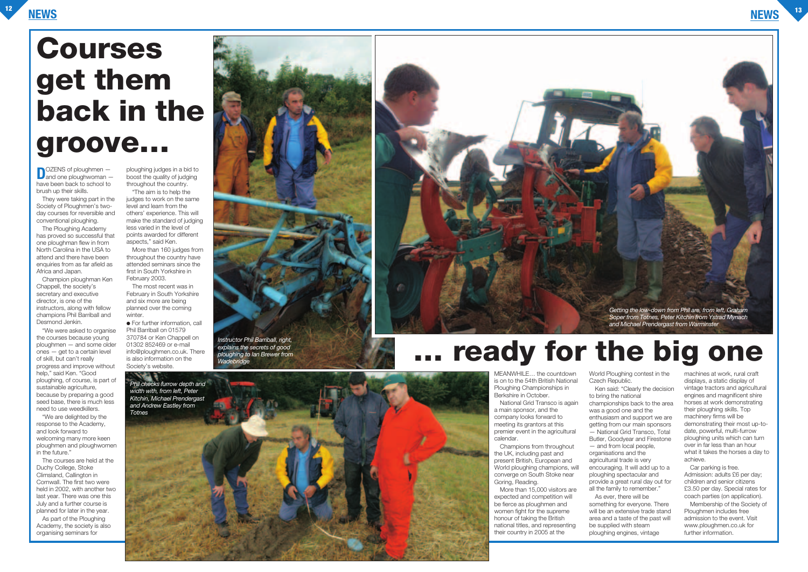

**D**OZENS of ploughmen – have been back to school to brush up their skills.

They were taking part in the Society of Ploughmen's twoday courses for reversible and conventional ploughing.

The Ploughing Academy has proved so successful that one ploughman flew in from North Carolina in the USA to attend and there have been enquiries from as far afield as Africa and Japan.

"We are delighted by the response to the Academy, and look forward to welcoming many more keen ploughmen and ploughwomen  $\overline{a}$  in the future.

Champion ploughman Ken Chappell, the society's secretary and executive director, is one of the instructors, along with fellow champions Phil Barriball and Desmond Jenkin.

"We were asked to organise the courses because young ploughmen — and some older ones — get to a certain level of skill, but can't really progress and improve without help," said Ken. "Good ploughing, of course, is part of sustainable agriculture. because by preparing a good seed base, there is much less need to use weedkillers.

More than 160 judges from throughout the country have attended seminars since the first in South Yorkshire in February 2003.

The most recent was in February in South Yorkshire and six more are being planned over the coming winter

● For further information, call Phil Barriball on 01579 370784 or Ken Chappell on 01302 852469 or e-mail info@ploughmen.co.uk. There is also information on the Society's website.

The courses are held at the Duchy College, Stoke Climsland, Callington in Cornwall. The first two were held in 2002, with another two last year. There was one this July and a further course is planned for later in the year.

As part of the Ploughing Academy, the society is also organising seminars for

ploughing judges in a bid to boost the quality of judging throughout the country.

"The aim is to help the judges to work on the same level and learn from the others' experience. This will make the standard of judging less varied in the level of points awarded for different aspects," said Ken.

> MEANWHILE… the countdown is on to the 54th British National Ploughing Championships in Berkshire in October.

> National Grid Transco is again a main sponsor, and the company looks forward to meeting its grantors at this premier event in the agricultural calendar.

Champions from throughout the UK, including past and present British, European and World ploughing champions, will converge on South Stoke near Goring, Reading.

More than 15,000 visitors are expected and competition will be fierce as ploughmen and women fight for the supreme honour of taking the British national titles, and representing their country in 2005 at the

World Ploughing contest in the Czech Republic.

Ken said: "Clearly the decision

to bring the national championships back to the area was a good one and the enthusiasm and support we are getting from our main sponsors — National Grid Transco, Total Butler, Goodyear and Firestone — and from local people, organisations and the agricultural trade is very encouraging. It will add up to a ploughing spectacular and provide a great rural day out for all the family to remember." As ever, there will be something for everyone. There

will be an extensive trade stand area and a taste of the past will be supplied with steam ploughing engines, vintage

machines at work, rural craft displays, a static display of vintage tractors and agricultural engines and magnificent shire horses at work demonstrating their ploughing skills. Top machinery firms will be demonstrating their most up-todate, powerful, multi-furrow ploughing units which can turn over in far less than an hour what it takes the horses a day to achieve.

Car parking is free. Admission: adults £6 per day; children and senior citizens £3.50 per day. Special rates for coach parties (on application).

Membership of the Society of Ploughmen includes free admission to the event. Visit www.ploughmen.co.uk for further information.

## **Courses get them back in the**

## **groove…**



## ready for the big one



*Instructor Phil Barriball, right, explains the secrets of good ploughing to Ian Brewer from Wadebridge*



*Phil checks furrow depth and width with, from left, Peter Kitchin, Michael Prendergast and Andrew Eastley from Totnes*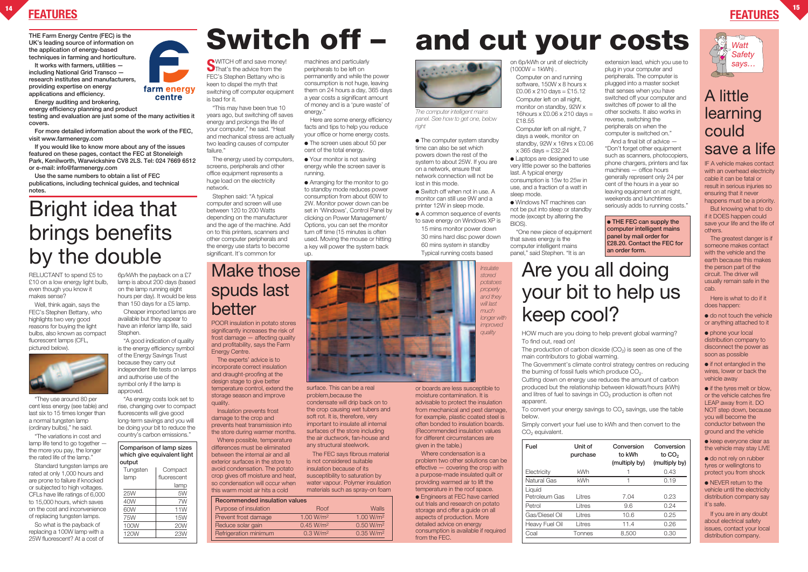**UK's leading source of information on the application of energy-based techniques in farming and horticulture.**

**It works with farmers, utilities including National Grid Transco research institutes and manufacturers, providing expertise on energy applications and efficiency.**

**Energy auditing and brokering,**

**energy efficiency planning and product**

**testing and evaluation are just some of the many activities it covers.**

**For more detailed information about the work of the FEC, visit www.farmenergy.com** 

**If you would like to know more about any of the issues featured on these pages, contact the FEC at Stoneleigh Park, Kenilworth, Warwickshire CV8 2LS. Tel: 024 7669 6512 or e-mail: info@farmenergy.com**

> $\bullet$  do not touch the vehicle or anything attached to it

**Use the same numbers to obtain a list of FEC publications, including technical guides, and technical notes.**



● if the tyres melt or blow, or the vehicle catches fire LEAP away from it. DO NOT step down, because you will become the conductor between the ground and the vehicle

• keep everyone clear as the vehicle may stay LIVE

### A little learning could save a life

● do not rely on rubber tyres or wellingtons to protect you from shock

IF A vehicle makes contact with an overhead electricity cable it can be fatal or result in serious injuries so ensuring that it never happens must be a priority.

**S**WITCH off and save money! That's the advice from the FEC's Stephen Bettany who is keen to dispel the myth that switching off computer equipment is bad for it.

> But knowing what to do if it DOES happen could save your life and the life of others.

The greatest danger is if someone makes contact with the vehicle and the earth because this makes the person part of the circuit. The driver will usually remain safe in the cab.

Here is what to do if it does happen:

machines and particularly peripherals to be left on permanently and while the power consumption is not huge, leaving them on 24 hours a day, 365 days a year costs a significant amount of money and is a 'pure waste' of energy.

> ● phone your local distribution company to disconnect the power as soon as possible

● if not entangled in the wires, lower or back the vehicle away

● Your monitor is not saving energy while the screen saver is running.

• The computer system standby time can also be set which powers down the rest of the system to about 25W. If you are on a network, ensure that network connection will not be lost in this mode.

> ● NEVER return to the vehicle until the electricity distribution company say it's safe.

> If you are in any doubt about electrical safety issues, contact your local distribution company.

on 6p/kWh or unit of electricity  $(1000W = 1kWh)$ 

"This may have been true 10 years ago, but switching off saves energy and prolongs the life of your computer," he said. "Heat and mechanical stress are actually two leading causes of computer failure."

The energy used by computers, screens, peripherals and other office equipment represents a huge load on the electricity network.

Stephen said: "A typical computer and screen will use between 120 to 200 Watts depending on the manufacturer and the age of the machine. Add on to this printers, scanners and other computer peripherals and the energy use starts to become significant. It's common for

"The variations in cost and lamp life tend to go together the more you pay, the longer the rated life of the lamp."

Here are some energy efficiency facts and tips to help you reduce your office or home energy costs.

● The screen uses about 50 per cent of the total energy.

● Arranging for the monitor to go to standby mode reduces power consumption from about 60W to 2W. Monitor power down can be set in 'Windows', Control Panel by clicking on Power Management/ Options, you can set the monitor turn off time (15 minutes is often used. Moving the mouse or hitting a key will power the system back up.

> The production of carbon dioxide  $(CO<sub>2</sub>)$  is seen as one of the main contributors to global warming. The Government's climate control strategy centres on reducing the burning of fossil fuels which produce  $CO<sub>2</sub>$ . Cutting down on energy use reduces the amount of carbon produced but the relationship between kilowatt/hours (kWh) and litres of fuel to savings in  $CO<sub>2</sub>$  production is often not apparent.

To convert your energy savings to  $CO<sub>2</sub>$  savings, use the table below.

Simply convert your fuel use to kWh and then convert to the  $CO<sub>2</sub>$  equivalent.

## **FEATURES <sup>14</sup> FEATURES and cut your costs**

- Switch off when not in use. A monitor can still use 9W and a printer 12W in sleep mode.
- A common sequence of events to save energy on Windows XP is 15 mins monitor power down 30 mins hard disc power down 60 mins system in standby Typical running costs based

Computer on and running software, 150W x 8 hours x  $£0.06 \times 210 \text{ days} = £15.12$ Computer left on all night, monitor on standby, 92W x 16hours x £0.06 x 210 days = £18.55

Computer left on all night, 7 days a week, monitor on standby, 92W x 16hrs x £0.06 x 365 days = £32.24

● Laptops are designed to use very little power so the batteries last. A typical energy consumption is 15w to 25w in use, and a fraction of a watt in sleep mode.

● Windows NT machines can not be put into sleep or standby mode (except by altering the BIOS).

"One new piece of equipment that saves energy is the computer intelligent mains panel," said Stephen. "It is an

extension lead, which you use to plug in your computer and peripherals. The computer is plugged into a master socket that senses when you have switched off your computer and switches off power to all the other sockets. It also works in reverse, switching the peripherals on when the computer is switched on." And a final bit of advice — "Don't forget other equipment such as scanners, photocopiers, phone chargers, printers and fax machines — office hours generally represent only 24 per cent of the hours in a year so leaving equipment on at night, weekends and lunchtimes seriously adds to running costs."

● **THE FEC can supply the computer intelligent mains panel by mail order for £28.20. Contact the FEC for an order form.**

RELUCTANT to spend £5 to £10 on a low energy light bulb. even though you know it makes sense?

Well, think again, says the FEC's Stephen Bettany, who highlights two very good reasons for buying the light bulbs, also known as compact fluorescent lamps (CFL, pictured below).



"They use around 80 per cent less energy (see table) and last six to 15 times longer than a normal tungsten lamp (ordinary bulbs)," he said.

Standard tungsten lamps are rated at only 1,000 hours and are prone to failure if knocked or subjected to high voltages. CFLs have life ratings of 6,000 to 15,000 hours, which saves on the cost and inconvenience of replacing tungsten lamps.

So what is the payback of replacing a 100W lamp with a 25W fluorescent? At a cost of

6p/kWh the payback on a £7 lamp is about 200 days (based on the lamp running eight hours per day). It would be less than 150 days for a £5 lamp.

farm energy centre

Cheaper imported lamps are available but they appear to have an inferior lamp life, said Stephen.

"A good indication of quality is the energy efficiency symbol of the Energy Savings Trust because they carry out independent life tests on lamps and authorise use of the symbol only if the lamp is approved.

"As energy costs look set to rise, changing over to compact fluorescents will give good long-term savings and you will be doing your bit to reduce the country's carbon emissions."

|  | Comparison of lamp sizes<br>which give equivalent light<br>output |         |  |  |  |
|--|-------------------------------------------------------------------|---------|--|--|--|
|  |                                                                   |         |  |  |  |
|  |                                                                   |         |  |  |  |
|  | Tungsten                                                          | Compact |  |  |  |
|  |                                                                   | 0000000 |  |  |  |

| lamp | fluorescent |
|------|-------------|
|      | lamp        |
| 25W  | 5W          |
| 40W  | 7W          |
| 60W  | 11W         |
| 75W  | <b>15W</b>  |
| 100W | <b>20W</b>  |
| 120W | <b>23W</b>  |

## THE Farm Energy Centre (FEC) is the<br>UK's leading source of information on<br>the emplication of energy based

HOW much are you doing to help prevent global warming? To find out, read on!

## Bright idea that brings benefits by the double

### Make those spuds last better

POOR insulation in potato stores significantly increases the risk of frost damage — affecting quality and profitability, says the Farm Energy Centre.

The experts' advice is to incorporate correct insulation and draught-proofing at the design stage to give better temperature control, extend the storage season and improve quality.

Insulation prevents frost damage to the crop and prevents heat transmission into the store during warmer months.

Where possible, temperature differences must be eliminated between the internal air and all exterior surfaces in the store to avoid condensation. The potato crop gives off moisture and heat, so condensation will occur when this warm moist air hits a cold

surface. This can be a real problem, because the condensate will drip back on to the crop causing wet tubers and soft rot. It is, therefore, very important to insulate all internal surfaces of the store including the air ductwork, fan-house and any structural steelwork.

The FEC says fibrous material is not considered suitable insulation because of its susceptibility to saturation by water vapour. Polymer insulation materials such as spray-on foam or boards are less susceptible to moisture contamination. It is advisable to protect the insulation from mechanical and pest damage, for example, plastic coated steel is often bonded to insulation boards. (Recommended insulation values for different circumstances are

given in the table.)

from the FEC

Where condensation is a problem two other solutions can be effective — covering the crop with a purpose-made insulated quilt or providing warmed air to lift the temperature in the roof space. ● Engineers at FEC have carried out trials and research on potato storage and offer a guide on all aspects of production. More detailed advice on energy

consumption is available if required

| <b>Recommended insulation values</b> |                       |                       |  |  |  |  |
|--------------------------------------|-----------------------|-----------------------|--|--|--|--|
| Purpose of insulation                | Roof                  | Walls                 |  |  |  |  |
| Prevent frost damage                 | 1.00 W/m <sup>2</sup> | 1.00 W/m <sup>2</sup> |  |  |  |  |
| Reduce solar gain                    | 0.45 W/m <sup>2</sup> | 0.50 W/m <sup>2</sup> |  |  |  |  |
| Refrigeration minimum                | 0.3 W/m <sup>2</sup>  | 0.35 W/m <sup>2</sup> |  |  |  |  |
|                                      |                       |                       |  |  |  |  |

### Are you all doing your bit to help us keep cool?

| Fuel           | Unit of<br>purchase | Conversion<br>to kWh<br>(multiply by) | Conversion<br>to CO <sub>2</sub><br>(multiply by) |
|----------------|---------------------|---------------------------------------|---------------------------------------------------|
| Electricity    | kWh                 |                                       | 0.43                                              |
| Natural Gas    | kWh                 |                                       | 0.19                                              |
| Liquid         |                     |                                       |                                                   |
| Petroleum Gas  | I itres             | 7.04                                  | 0.23                                              |
| Petrol         | Litres              | 9.6                                   | 0.24                                              |
| Gas/Diesel Oil | Litres              | 10.6                                  | 0.25                                              |
| Heavy Fuel Oil | Litres              | 11.4                                  | 0.26                                              |
| Coal           | Tonnes              | 8,500                                 | 0.30                                              |
|                |                     |                                       |                                                   |





*The computer intelligent mains panel. See how to get one, below right*